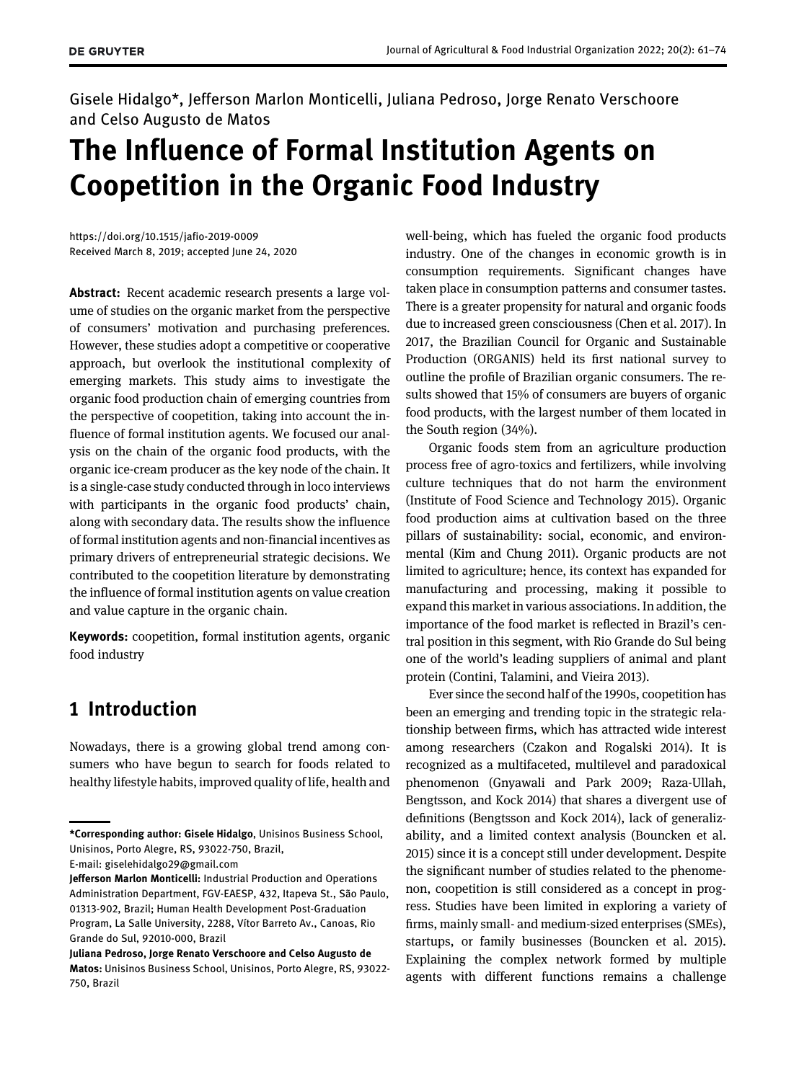Gisele Hidalgo\*, Jefferson Marlon Monticelli, Juliana Pedroso, Jorge Renato Verschoore and Celso Augusto de Matos

# The Influence of Formal Institution Agents on Coopetition in the Organic Food Industry

<https://doi.org/10.1515/jafio-2019-0009> Received March 8, 2019; accepted June 24, 2020

Abstract: Recent academic research presents a large volume of studies on the organic market from the perspective of consumers' motivation and purchasing preferences. However, these studies adopt a competitive or cooperative approach, but overlook the institutional complexity of emerging markets. This study aims to investigate the organic food production chain of emerging countries from the perspective of coopetition, taking into account the influence of formal institution agents. We focused our analysis on the chain of the organic food products, with the organic ice-cream producer as the key node of the chain. It is a single-case study conducted through in loco interviews with participants in the organic food products' chain, along with secondary data. The results show the influence of formal institution agents and non-financial incentives as primary drivers of entrepreneurial strategic decisions. We contributed to the coopetition literature by demonstrating the influence of formal institution agents on value creation and value capture in the organic chain.

Keywords: coopetition, formal institution agents, organic food industry

# 1 Introduction

Nowadays, there is a growing global trend among consumers who have begun to search for foods related to healthy lifestyle habits, improved quality of life, health and

well-being, which has fueled the organic food products industry. One of the changes in economic growth is in consumption requirements. Significant changes have taken place in consumption patterns and consumer tastes. There is a greater propensity for natural and organic foods due to increased green consciousness [\(Chen et al. 2017\)](#page-11-0). In 2017, the Brazilian Council for Organic and Sustainable Production (ORGANIS) held its first national survey to outline the profile of Brazilian organic consumers. The results showed that 15% of consumers are buyers of organic food products, with the largest number of them located in the South region (34%).

Organic foods stem from an agriculture production process free of agro-toxics and fertilizers, while involving culture techniques that do not harm the environment ([Institute of Food Science and Technology 2015](#page-12-0)). Organic food production aims at cultivation based on the three pillars of sustainability: social, economic, and environmental ([Kim and Chung 2011](#page-12-1)). Organic products are not limited to agriculture; hence, its context has expanded for manufacturing and processing, making it possible to expand this market in various associations. In addition, the importance of the food market is reflected in Brazil's central position in this segment, with Rio Grande do Sul being one of the world's leading suppliers of animal and plant protein [\(Contini, Talamini, and Vieira 2013](#page-11-1)).

Ever since the second half of the 1990s, coopetition has been an emerging and trending topic in the strategic relationship between firms, which has attracted wide interest among researchers ([Czakon and Rogalski 2014\)](#page-11-2). It is recognized as a multifaceted, multilevel and paradoxical phenomenon ([Gnyawali and Park 2009; Raza-Ullah,](#page-11-3) [Bengtsson, and Kock 2014](#page-11-3)) that shares a divergent use of definitions [\(Bengtsson and Kock 2014\)](#page-10-0), lack of generalizability, and a limited context analysis [\(Bouncken et al.](#page-11-4) [2015](#page-11-4)) since it is a concept still under development. Despite the significant number of studies related to the phenomenon, coopetition is still considered as a concept in progress. Studies have been limited in exploring a variety of firms, mainly small- and medium-sized enterprises (SMEs), startups, or family businesses [\(Bouncken et al. 2015](#page-11-4)). Explaining the complex network formed by multiple agents with different functions remains a challenge

<sup>\*</sup>Corresponding author: Gisele Hidalgo, Unisinos Business School, Unisinos, Porto Alegre, RS, 93022-750, Brazil,

E-mail: [giselehidalgo29@gmail.com](mailto:giselehidalgo29@gmail.com)

Jefferson Marlon Monticelli: Industrial Production and Operations Administration Department, FGV-EAESP, 432, Itapeva St., São Paulo, 01313-902, Brazil; Human Health Development Post-Graduation Program, La Salle University, 2288, Vítor Barreto Av., Canoas, Rio Grande do Sul, 92010-000, Brazil

Juliana Pedroso, Jorge Renato Verschoore and Celso Augusto de Matos: Unisinos Business School, Unisinos, Porto Alegre, RS, 93022- 750, Brazil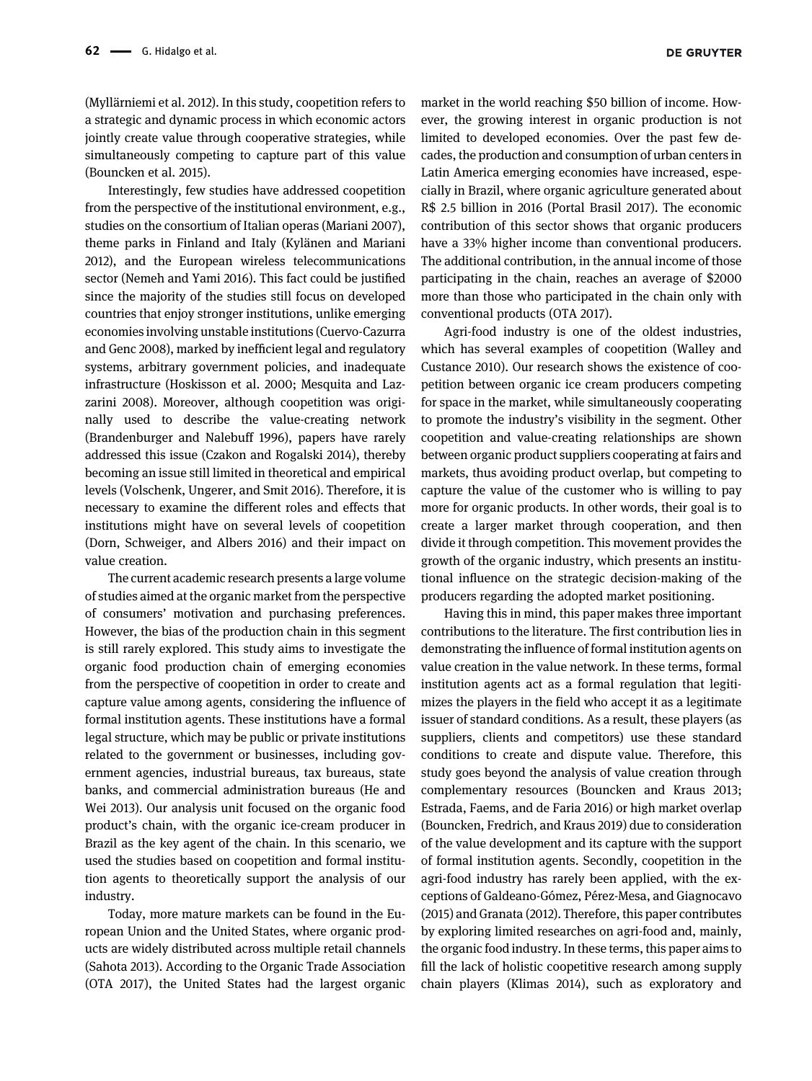[\(Myllärniemi et al. 2012](#page-12-2)). In this study, coopetition refers to a strategic and dynamic process in which economic actors jointly create value through cooperative strategies, while simultaneously competing to capture part of this value [\(Bouncken et al. 2015](#page-11-4)).

Interestingly, few studies have addressed coopetition from the perspective of the institutional environment, e.g., studies on the consortium of Italian operas [\(Mariani 2007\)](#page-12-3), theme parks in Finland and Italy ([Kylänen and Mariani](#page-12-4) [2012\)](#page-12-4), and the European wireless telecommunications sector ([Nemeh and Yami 2016\)](#page-12-5). This fact could be justified since the majority of the studies still focus on developed countries that enjoy stronger institutions, unlike emerging economies involving unstable institutions ([Cuervo-Cazurra](#page-11-5) [and Genc 2008\)](#page-11-5), marked by inefficient legal and regulatory systems, arbitrary government policies, and inadequate infrastructure [\(Hoskisson et al. 2000; Mesquita and Laz](#page-12-6)[zarini 2008\)](#page-12-6). Moreover, although coopetition was originally used to describe the value-creating network [\(Brandenburger and Nalebuff 1996\)](#page-11-6), papers have rarely addressed this issue ([Czakon and Rogalski 2014](#page-11-2)), thereby becoming an issue still limited in theoretical and empirical levels ([Volschenk, Ungerer, and Smit 2016\)](#page-13-0). Therefore, it is necessary to examine the different roles and effects that institutions might have on several levels of coopetition [\(Dorn, Schweiger, and Albers 2016](#page-11-7)) and their impact on value creation.

The current academic research presents a large volume of studies aimed at the organic market from the perspective of consumers' motivation and purchasing preferences. However, the bias of the production chain in this segment is still rarely explored. This study aims to investigate the organic food production chain of emerging economies from the perspective of coopetition in order to create and capture value among agents, considering the influence of formal institution agents. These institutions have a formal legal structure, which may be public or private institutions related to the government or businesses, including government agencies, industrial bureaus, tax bureaus, state banks, and commercial administration bureaus [\(He and](#page-12-7) [Wei 2013\)](#page-12-7). Our analysis unit focused on the organic food product's chain, with the organic ice-cream producer in Brazil as the key agent of the chain. In this scenario, we used the studies based on coopetition and formal institution agents to theoretically support the analysis of our industry.

Today, more mature markets can be found in the European Union and the United States, where organic products are widely distributed across multiple retail channels [\(Sahota 2013\)](#page-13-1). According to the Organic Trade Association [\(OTA 2017\)](#page-12-8), the United States had the largest organic market in the world reaching \$50 billion of income. However, the growing interest in organic production is not limited to developed economies. Over the past few decades, the production and consumption of urban centers in Latin America emerging economies have increased, especially in Brazil, where organic agriculture generated about R\$ 2.5 billion in 2016 ([Portal Brasil 2017](#page-12-9)). The economic contribution of this sector shows that organic producers have a 33% higher income than conventional producers. The additional contribution, in the annual income of those participating in the chain, reaches an average of \$2000 more than those who participated in the chain only with conventional products ([OTA 2017\)](#page-12-8).

Agri-food industry is one of the oldest industries, which has several examples of coopetition ([Walley and](#page-13-2) [Custance 2010\)](#page-13-2). Our research shows the existence of coopetition between organic ice cream producers competing for space in the market, while simultaneously cooperating to promote the industry's visibility in the segment. Other coopetition and value-creating relationships are shown between organic product suppliers cooperating at fairs and markets, thus avoiding product overlap, but competing to capture the value of the customer who is willing to pay more for organic products. In other words, their goal is to create a larger market through cooperation, and then divide it through competition. This movement provides the growth of the organic industry, which presents an institutional influence on the strategic decision-making of the producers regarding the adopted market positioning.

Having this in mind, this paper makes three important contributions to the literature. The first contribution lies in demonstrating the influence of formal institution agents on value creation in the value network. In these terms, formal institution agents act as a formal regulation that legitimizes the players in the field who accept it as a legitimate issuer of standard conditions. As a result, these players (as suppliers, clients and competitors) use these standard conditions to create and dispute value. Therefore, this study goes beyond the analysis of value creation through complementary resources ([Bouncken and Kraus 2013;](#page-11-8) [Estrada, Faems, and de Faria 2016\)](#page-11-8) or high market overlap [\(Bouncken, Fredrich, and Kraus 2019\)](#page-10-1) due to consideration of the value development and its capture with the support of formal institution agents. Secondly, coopetition in the agri-food industry has rarely been applied, with the exceptions of [Galdeano-Gómez, Pérez-Mesa, and Giagnocavo](#page-11-9) [\(2015\) and Granata \(2012\)](#page-11-9). Therefore, this paper contributes by exploring limited researches on agri-food and, mainly, the organic food industry. In these terms, this paper aims to fill the lack of holistic coopetitive research among supply chain players ([Klimas 2014\)](#page-12-10), such as exploratory and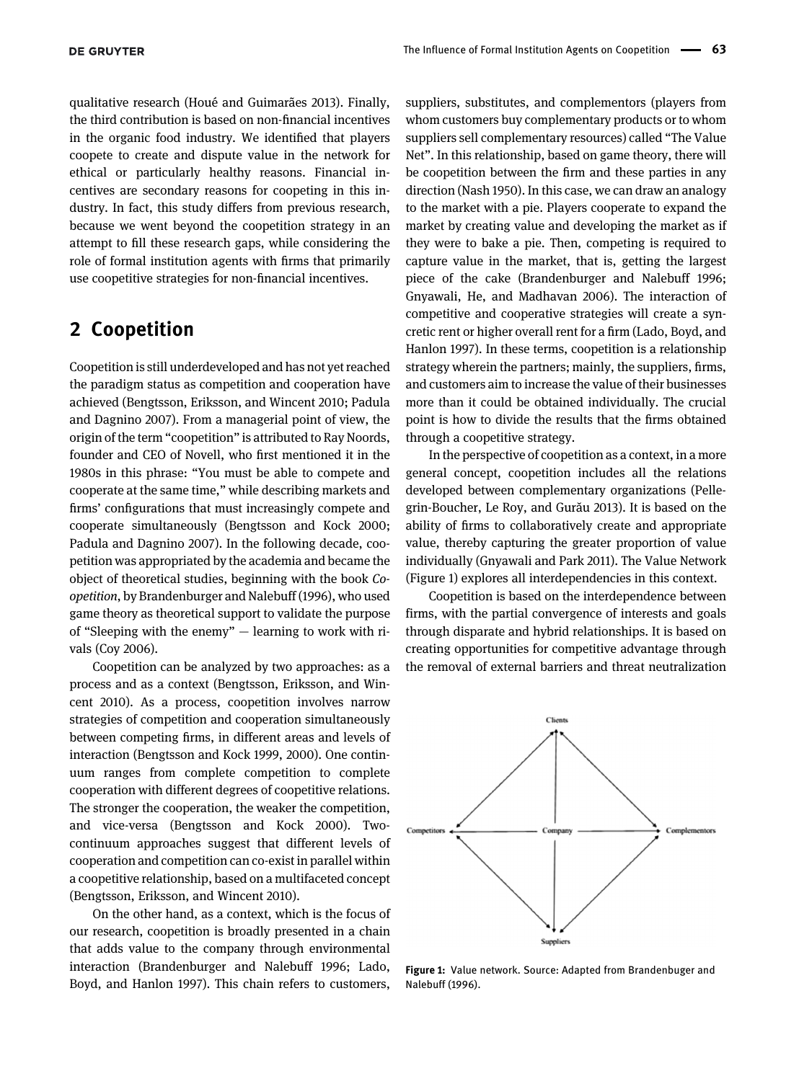qualitative research [\(Houé and Guimarães 2013](#page-12-11)). Finally, the third contribution is based on non-financial incentives in the organic food industry. We identified that players coopete to create and dispute value in the network for ethical or particularly healthy reasons. Financial incentives are secondary reasons for coopeting in this industry. In fact, this study differs from previous research, because we went beyond the coopetition strategy in an attempt to fill these research gaps, while considering the role of formal institution agents with firms that primarily use coopetitive strategies for non-financial incentives.

## 2 Coopetition

Coopetition is still underdeveloped and has not yet reached the paradigm status as competition and cooperation have achieved ([Bengtsson, Eriksson, and Wincent 2010; Padula](#page-10-2) [and Dagnino 2007\)](#page-10-2). From a managerial point of view, the origin of the term "coopetition" is attributed to Ray Noords, founder and CEO of Novell, who first mentioned it in the 1980s in this phrase: "You must be able to compete and cooperate at the same time," while describing markets and firms' configurations that must increasingly compete and cooperate simultaneously ([Bengtsson and Kock 2000;](#page-10-3) [Padula and Dagnino 2007\)](#page-10-3). In the following decade, coopetition was appropriated by the academia and became the object of theoretical studies, beginning with the book Coopetition, by [Brandenburger and Nalebuff \(1996\),](#page-11-6) who used game theory as theoretical support to validate the purpose of "Sleeping with the enemy" — learning to work with rivals ([Coy 2006](#page-11-10)).

Coopetition can be analyzed by two approaches: as a process and as a context ([Bengtsson, Eriksson, and Win](#page-10-2)[cent 2010](#page-10-2)). As a process, coopetition involves narrow strategies of competition and cooperation simultaneously between competing firms, in different areas and levels of interaction ([Bengtsson and Kock 1999, 2000\)](#page-10-4). One continuum ranges from complete competition to complete cooperation with different degrees of coopetitive relations. The stronger the cooperation, the weaker the competition, and vice-versa ([Bengtsson and Kock 2000\)](#page-10-3). Twocontinuum approaches suggest that different levels of cooperation and competition can co-exist in parallel within a coopetitive relationship, based on a multifaceted concept [\(Bengtsson, Eriksson, and Wincent 2010](#page-10-2)).

On the other hand, as a context, which is the focus of our research, coopetition is broadly presented in a chain that adds value to the company through environmental interaction ([Brandenburger and Nalebuff 1996; Lado,](#page-11-6) [Boyd, and Hanlon 1997\)](#page-11-6). This chain refers to customers,

suppliers, substitutes, and complementors (players from whom customers buy complementary products or to whom suppliers sell complementary resources) called "The Value Net". In this relationship, based on game theory, there will be coopetition between the firm and these parties in any direction ([Nash 1950\)](#page-12-12). In this case, we can draw an analogy to the market with a pie. Players cooperate to expand the market by creating value and developing the market as if they were to bake a pie. Then, competing is required to capture value in the market, that is, getting the largest piece of the cake [\(Brandenburger and Nalebuff 1996;](#page-11-6) [Gnyawali, He, and Madhavan 2006\)](#page-11-6). The interaction of competitive and cooperative strategies will create a syncretic rent or higher overall rent for a firm [\(Lado, Boyd, and](#page-12-13) [Hanlon 1997](#page-12-13)). In these terms, coopetition is a relationship strategy wherein the partners; mainly, the suppliers, firms, and customers aim to increase the value of their businesses more than it could be obtained individually. The crucial point is how to divide the results that the firms obtained through a coopetitive strategy.

In the perspective of coopetition as a context, in a more general concept, coopetition includes all the relations developed between complementary organizations ([Pelle](#page-12-14)[grin-Boucher, Le Roy, and Gur](#page-12-14)ău 2013). It is based on the ability of firms to collaboratively create and appropriate value, thereby capturing the greater proportion of value individually [\(Gnyawali and Park 2011\)](#page-11-11). The Value Network ([Figure 1\)](#page-2-0) explores all interdependencies in this context.

Coopetition is based on the interdependence between firms, with the partial convergence of interests and goals through disparate and hybrid relationships. It is based on creating opportunities for competitive advantage through the removal of external barriers and threat neutralization



<span id="page-2-0"></span>Figure 1: Value network. Source: Adapted from [Brandenbuger and](#page-11-6) [Nalebuff \(1996\)](#page-11-6).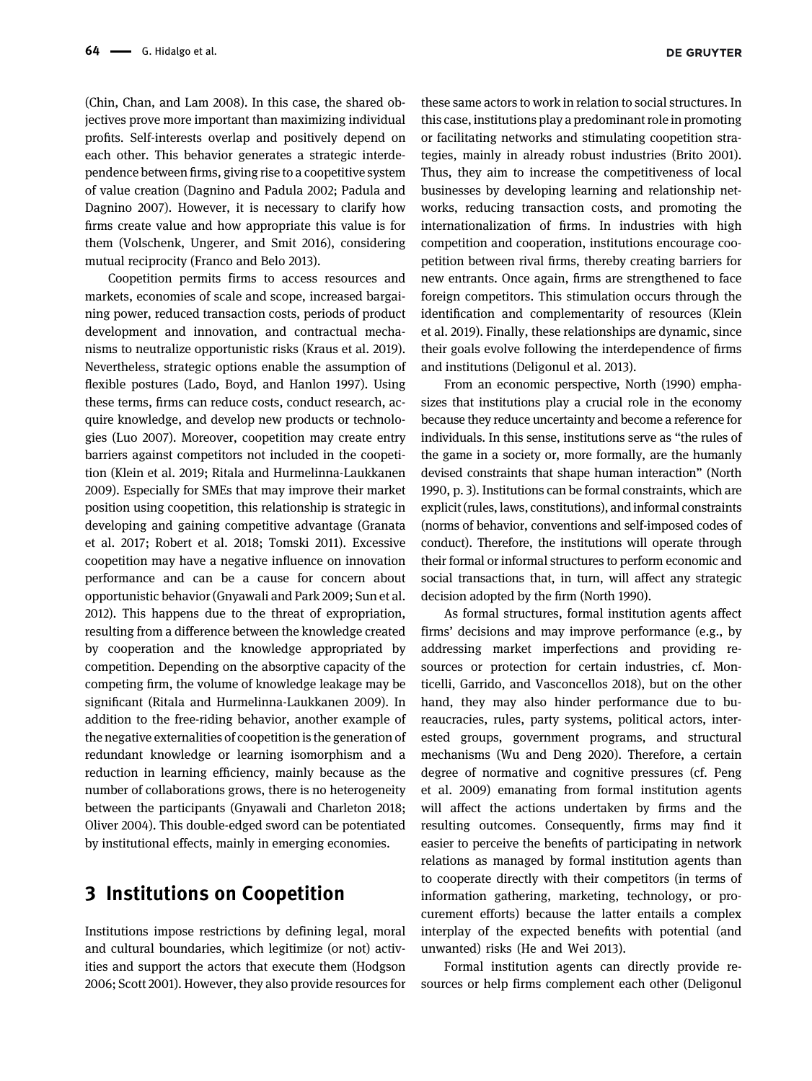[\(Chin, Chan, and Lam 2008](#page-11-12)). In this case, the shared objectives prove more important than maximizing individual profits. Self-interests overlap and positively depend on each other. This behavior generates a strategic interdependence between firms, giving rise to a coopetitive system of value creation ([Dagnino and Padula 2002; Padula and](#page-11-13) [Dagnino 2007\)](#page-11-13). However, it is necessary to clarify how firms create value and how appropriate this value is for them [\(Volschenk, Ungerer, and Smit 2016\)](#page-13-0), considering mutual reciprocity ([Franco and Belo 2013\)](#page-11-14).

Coopetition permits firms to access resources and markets, economies of scale and scope, increased bargaining power, reduced transaction costs, periods of product development and innovation, and contractual mechanisms to neutralize opportunistic risks ([Kraus et al. 2019](#page-12-15)). Nevertheless, strategic options enable the assumption of flexible postures [\(Lado, Boyd, and Hanlon 1997\)](#page-12-13). Using these terms, firms can reduce costs, conduct research, acquire knowledge, and develop new products or technologies [\(Luo 2007\)](#page-12-16). Moreover, coopetition may create entry barriers against competitors not included in the coopetition [\(Klein et al. 2019; Ritala and Hurmelinna-Laukkanen](#page-12-17) [2009](#page-12-17)). Especially for SMEs that may improve their market position using coopetition, this relationship is strategic in developing and gaining competitive advantage [\(Granata](#page-11-15) [et al. 2017; Robert et al. 2018; Tomski 2011](#page-11-15)). Excessive coopetition may have a negative influence on innovation performance and can be a cause for concern about opportunistic behavior [\(Gnyawali and Park 2009; Sun et al.](#page-11-3) [2012\)](#page-11-3). This happens due to the threat of expropriation, resulting from a difference between the knowledge created by cooperation and the knowledge appropriated by competition. Depending on the absorptive capacity of the competing firm, the volume of knowledge leakage may be significant ([Ritala and Hurmelinna-Laukkanen 2009\)](#page-13-3). In addition to the free-riding behavior, another example of the negative externalities of coopetition is the generation of redundant knowledge or learning isomorphism and a reduction in learning efficiency, mainly because as the number of collaborations grows, there is no heterogeneity between the participants ([Gnyawali and Charleton 2018;](#page-11-16) [Oliver 2004](#page-11-16)). This double-edged sword can be potentiated by institutional effects, mainly in emerging economies.

# 3 Institutions on Coopetition

Institutions impose restrictions by defining legal, moral and cultural boundaries, which legitimize (or not) activities and support the actors that execute them [\(Hodgson](#page-12-18) [2006; Scott 2001\)](#page-12-18). However, they also provide resources for

these same actors to work in relation to social structures. In this case, institutions play a predominant role in promoting or facilitating networks and stimulating coopetition strategies, mainly in already robust industries ([Brito 2001\)](#page-11-17). Thus, they aim to increase the competitiveness of local businesses by developing learning and relationship networks, reducing transaction costs, and promoting the internationalization of firms. In industries with high competition and cooperation, institutions encourage coopetition between rival firms, thereby creating barriers for new entrants. Once again, firms are strengthened to face foreign competitors. This stimulation occurs through the identification and complementarity of resources [\(Klein](#page-12-17) [et al. 2019](#page-12-17)). Finally, these relationships are dynamic, since their goals evolve following the interdependence of firms

From an economic perspective, [North \(1990\)](#page-12-19) emphasizes that institutions play a crucial role in the economy because they reduce uncertainty and become a reference for individuals. In this sense, institutions serve as "the rules of the game in a society or, more formally, are the humanly devised constraints that shape human interaction" ([North](#page-12-19) [1990,](#page-12-19) p. 3). Institutions can be formal constraints, which are explicit (rules, laws, constitutions), and informal constraints (norms of behavior, conventions and self-imposed codes of conduct). Therefore, the institutions will operate through their formal or informal structures to perform economic and social transactions that, in turn, will affect any strategic decision adopted by the firm ([North 1990](#page-12-19)).

and institutions ([Deligonul et al. 2013](#page-11-18)).

As formal structures, formal institution agents affect firms' decisions and may improve performance (e.g., by addressing market imperfections and providing resources or protection for certain industries, cf. [Mon](#page-12-20)[ticelli, Garrido, and Vasconcellos 2018\)](#page-12-20), but on the other hand, they may also hinder performance due to bureaucracies, rules, party systems, political actors, interested groups, government programs, and structural mechanisms [\(Wu and Deng 2020\)](#page-13-4). Therefore, a certain degree of normative and cognitive pressures (cf. [Peng](#page-12-21) [et al. 2009\)](#page-12-21) emanating from formal institution agents will affect the actions undertaken by firms and the resulting outcomes. Consequently, firms may find it easier to perceive the benefits of participating in network relations as managed by formal institution agents than to cooperate directly with their competitors (in terms of information gathering, marketing, technology, or procurement efforts) because the latter entails a complex interplay of the expected benefits with potential (and unwanted) risks [\(He and Wei 2013\)](#page-12-7).

Formal institution agents can directly provide resources or help firms complement each other [\(Deligonul](#page-11-18)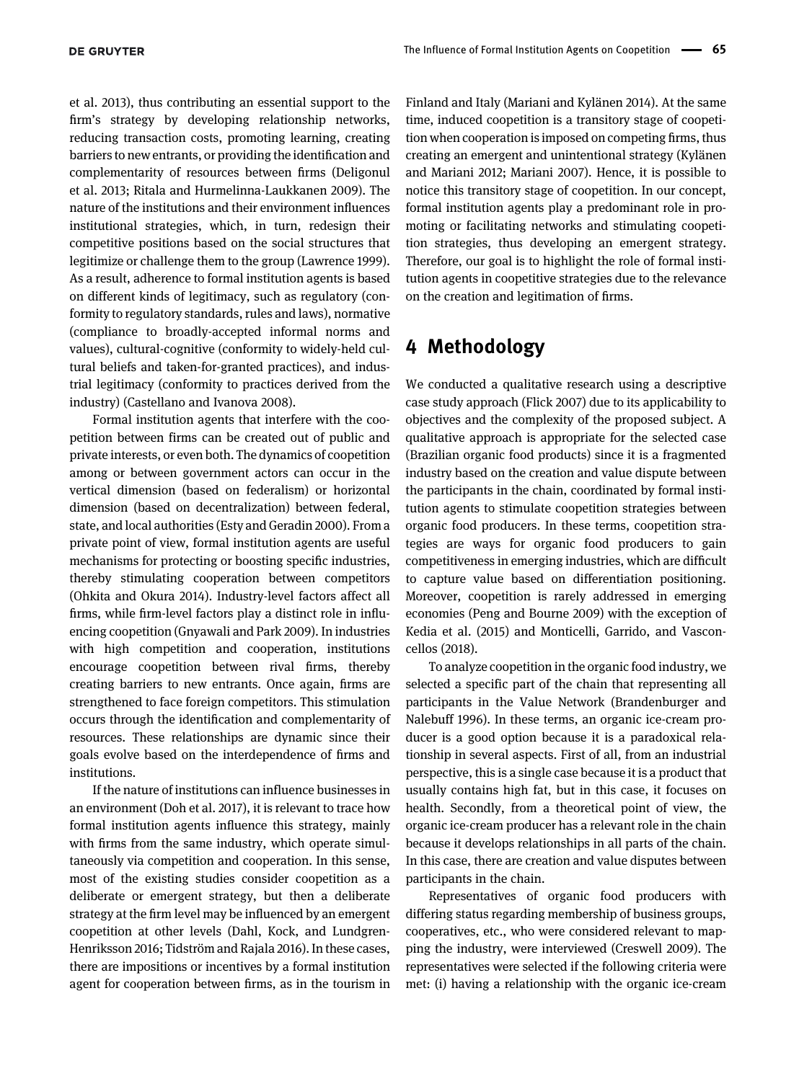[et al. 2013\)](#page-11-18), thus contributing an essential support to the firm's strategy by developing relationship networks, reducing transaction costs, promoting learning, creating barriers to new entrants, or providing the identification and complementarity of resources between firms ([Deligonul](#page-11-18) [et al. 2013; Ritala and Hurmelinna-Laukkanen 2009\)](#page-11-18). The nature of the institutions and their environment influences institutional strategies, which, in turn, redesign their competitive positions based on the social structures that legitimize or challenge them to the group ([Lawrence 1999\)](#page-12-22). As a result, adherence to formal institution agents is based on different kinds of legitimacy, such as regulatory (conformity to regulatory standards, rules and laws), normative (compliance to broadly-accepted informal norms and values), cultural-cognitive (conformity to widely-held cultural beliefs and taken-for-granted practices), and industrial legitimacy (conformity to practices derived from the industry) [\(Castellano and Ivanova 2008\)](#page-11-19).

Formal institution agents that interfere with the coopetition between firms can be created out of public and private interests, or even both. The dynamics of coopetition among or between government actors can occur in the vertical dimension (based on federalism) or horizontal dimension (based on decentralization) between federal, state, and local authorities ([Esty and Geradin 2000](#page-11-20)). From a private point of view, formal institution agents are useful mechanisms for protecting or boosting specific industries, thereby stimulating cooperation between competitors [\(Ohkita and Okura 2014](#page-12-23)). Industry-level factors affect all firms, while firm-level factors play a distinct role in influencing coopetition ([Gnyawali and Park 2009](#page-11-3)). In industries with high competition and cooperation, institutions encourage coopetition between rival firms, thereby creating barriers to new entrants. Once again, firms are strengthened to face foreign competitors. This stimulation occurs through the identification and complementarity of resources. These relationships are dynamic since their goals evolve based on the interdependence of firms and institutions.

If the nature of institutions can influence businesses in an environment [\(Doh et al. 2017](#page-11-21)), it is relevant to trace how formal institution agents influence this strategy, mainly with firms from the same industry, which operate simultaneously via competition and cooperation. In this sense, most of the existing studies consider coopetition as a deliberate or emergent strategy, but then a deliberate strategy at the firm level may be influenced by an emergent coopetition at other levels [\(Dahl, Kock, and Lundgren-](#page-11-22)[Henriksson 2016; Tidström and Rajala 2016\)](#page-11-22). In these cases, there are impositions or incentives by a formal institution agent for cooperation between firms, as in the tourism in Finland and Italy ([Mariani and Kylänen 2014\)](#page-12-24). At the same time, induced coopetition is a transitory stage of coopetition when cooperation is imposed on competing firms, thus creating an emergent and unintentional strategy [\(Kylänen](#page-12-4) [and Mariani 2012; Mariani 2007\)](#page-12-4). Hence, it is possible to notice this transitory stage of coopetition. In our concept, formal institution agents play a predominant role in promoting or facilitating networks and stimulating coopetition strategies, thus developing an emergent strategy. Therefore, our goal is to highlight the role of formal institution agents in coopetitive strategies due to the relevance on the creation and legitimation of firms.

#### 4 Methodology

We conducted a qualitative research using a descriptive case study approach ([Flick 2007](#page-11-23)) due to its applicability to objectives and the complexity of the proposed subject. A qualitative approach is appropriate for the selected case (Brazilian organic food products) since it is a fragmented industry based on the creation and value dispute between the participants in the chain, coordinated by formal institution agents to stimulate coopetition strategies between organic food producers. In these terms, coopetition strategies are ways for organic food producers to gain competitiveness in emerging industries, which are difficult to capture value based on differentiation positioning. Moreover, coopetition is rarely addressed in emerging economies ([Peng and Bourne 2009](#page-12-25)) with the exception of [Kedia et al. \(2015\) and Monticelli, Garrido, and Vascon](#page-12-26)[cellos \(2018\)](#page-12-26).

To analyze coopetition in the organic food industry, we selected a specific part of the chain that representing all participants in the Value Network [\(Brandenburger and](#page-11-6) [Nalebuff 1996](#page-11-6)). In these terms, an organic ice-cream producer is a good option because it is a paradoxical relationship in several aspects. First of all, from an industrial perspective, this is a single case because it is a product that usually contains high fat, but in this case, it focuses on health. Secondly, from a theoretical point of view, the organic ice-cream producer has a relevant role in the chain because it develops relationships in all parts of the chain. In this case, there are creation and value disputes between participants in the chain.

Representatives of organic food producers with differing status regarding membership of business groups, cooperatives, etc., who were considered relevant to mapping the industry, were interviewed ([Creswell 2009](#page-11-24)). The representatives were selected if the following criteria were met: (i) having a relationship with the organic ice-cream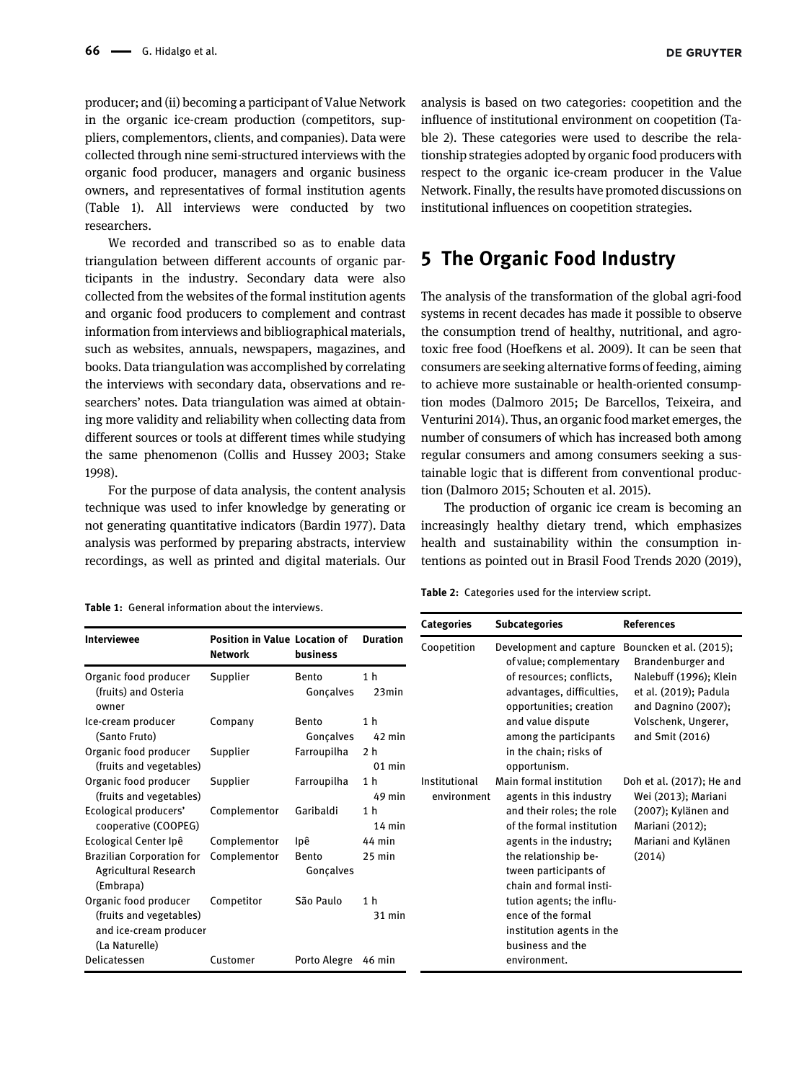producer; and (ii) becoming a participant of Value Network in the organic ice-cream production (competitors, suppliers, complementors, clients, and companies). Data were collected through nine semi-structured interviews with the organic food producer, managers and organic business owners, and representatives of formal institution agents [\(Table 1](#page-5-0)). All interviews were conducted by two researchers.

We recorded and transcribed so as to enable data triangulation between different accounts of organic participants in the industry. Secondary data were also collected from the websites of the formal institution agents and organic food producers to complement and contrast information from interviews and bibliographical materials, such as websites, annuals, newspapers, magazines, and books. Data triangulation was accomplished by correlating the interviews with secondary data, observations and researchers' notes. Data triangulation was aimed at obtaining more validity and reliability when collecting data from different sources or tools at different times while studying the same phenomenon [\(Collis and Hussey 2003; Stake](#page-11-25) [1998](#page-11-25)).

For the purpose of data analysis, the content analysis technique was used to infer knowledge by generating or not generating quantitative indicators ([Bardin 1977](#page-10-5)). Data analysis was performed by preparing abstracts, interview recordings, as well as printed and digital materials. Our analysis is based on two categories: coopetition and the influence of institutional environment on coopetition [\(Ta-](#page-5-1)

[ble 2\)](#page-5-1). These categories were used to describe the relationship strategies adopted by organic food producers with respect to the organic ice-cream producer in the Value Network. Finally, the results have promoted discussions on institutional influences on coopetition strategies.

#### 5 The Organic Food Industry

The analysis of the transformation of the global agri-food systems in recent decades has made it possible to observe the consumption trend of healthy, nutritional, and agrotoxic free food [\(Hoefkens et al. 2009\)](#page-12-27). It can be seen that consumers are seeking alternative forms of feeding, aiming to achieve more sustainable or health-oriented consumption modes ([Dalmoro 2015; De Barcellos, Teixeira, and](#page-11-26) [Venturini 2014\)](#page-11-26). Thus, an organic food market emerges, the number of consumers of which has increased both among regular consumers and among consumers seeking a sustainable logic that is different from conventional production ([Dalmoro 2015; Schouten et al. 2015](#page-11-26)).

The production of organic ice cream is becoming an increasingly healthy dietary trend, which emphasizes health and sustainability within the consumption intentions as pointed out in [Brasil Food Trends 2020 \(2019\)](#page-11-27),

<span id="page-5-1"></span>Table 2: Categories used for the interview script.

<span id="page-5-0"></span>Table 1: General information about the interviews.

|                                                                        |                                                        |                           |                            | <b>Categories</b>            | <b>Subcategories</b>                                                             | <b>References</b>                                                      |
|------------------------------------------------------------------------|--------------------------------------------------------|---------------------------|----------------------------|------------------------------|----------------------------------------------------------------------------------|------------------------------------------------------------------------|
| Interviewee                                                            | <b>Position in Value Location of</b><br><b>Network</b> | business                  | <b>Duration</b>            | Coopetition                  | Development and capture<br>of value; complementary                               | Bouncken et al. (2015);<br>Brandenburger and                           |
| Organic food producer<br>(fruits) and Osteria<br>owner                 | Supplier                                               | <b>Bento</b><br>Gonçalves | 1 <sub>h</sub><br>23min    |                              | of resources; conflicts,<br>advantages, difficulties,<br>opportunities; creation | Nalebuff (1996); Klein<br>et al. (2019); Padula<br>and Dagnino (2007); |
| Ice-cream producer<br>(Santo Fruto)                                    | Company                                                | Bento<br>Gonçalves        | 1 <sub>h</sub><br>$42$ min |                              | and value dispute<br>among the participants                                      | Volschenk, Ungerer,<br>and Smit (2016)                                 |
| Organic food producer<br>(fruits and vegetables)                       | Supplier                                               | Farroupilha               | 2 <sub>h</sub><br>$01$ min |                              | in the chain; risks of<br>opportunism.                                           |                                                                        |
| Organic food producer<br>(fruits and vegetables)                       | Supplier                                               | Farroupilha               | 1 <sub>h</sub><br>49 min   | Institutional<br>environment | Main formal institution<br>agents in this industry                               | Doh et al. (2017); He and<br>Wei (2013); Mariani                       |
| Ecological producers'<br>cooperative (COOPEG)                          | Complementor                                           | Garibaldi                 | 1 h<br>$14$ min            |                              | and their roles; the role<br>of the formal institution                           | (2007); Kylänen and<br>Mariani (2012);                                 |
| Ecological Center Ipê                                                  | Complementor                                           | Ipê                       | 44 min                     |                              | agents in the industry;                                                          | Mariani and Kylänen                                                    |
| <b>Brazilian Corporation for</b><br>Agricultural Research<br>(Embrapa) | Complementor                                           | <b>Bento</b><br>Gonçalves | $25$ min                   |                              | the relationship be-<br>tween participants of<br>chain and formal insti-         | (2014)                                                                 |
| Organic food producer<br>(fruits and vegetables)                       | Competitor                                             | São Paulo                 | 1 <sub>h</sub><br>31 min   |                              | tution agents; the influ-<br>ence of the formal                                  |                                                                        |
| and ice-cream producer<br>(La Naturelle)                               |                                                        |                           |                            |                              | institution agents in the<br>business and the                                    |                                                                        |
| Delicatessen                                                           | Customer                                               | Porto Alegre              | 46 min                     |                              | environment.                                                                     |                                                                        |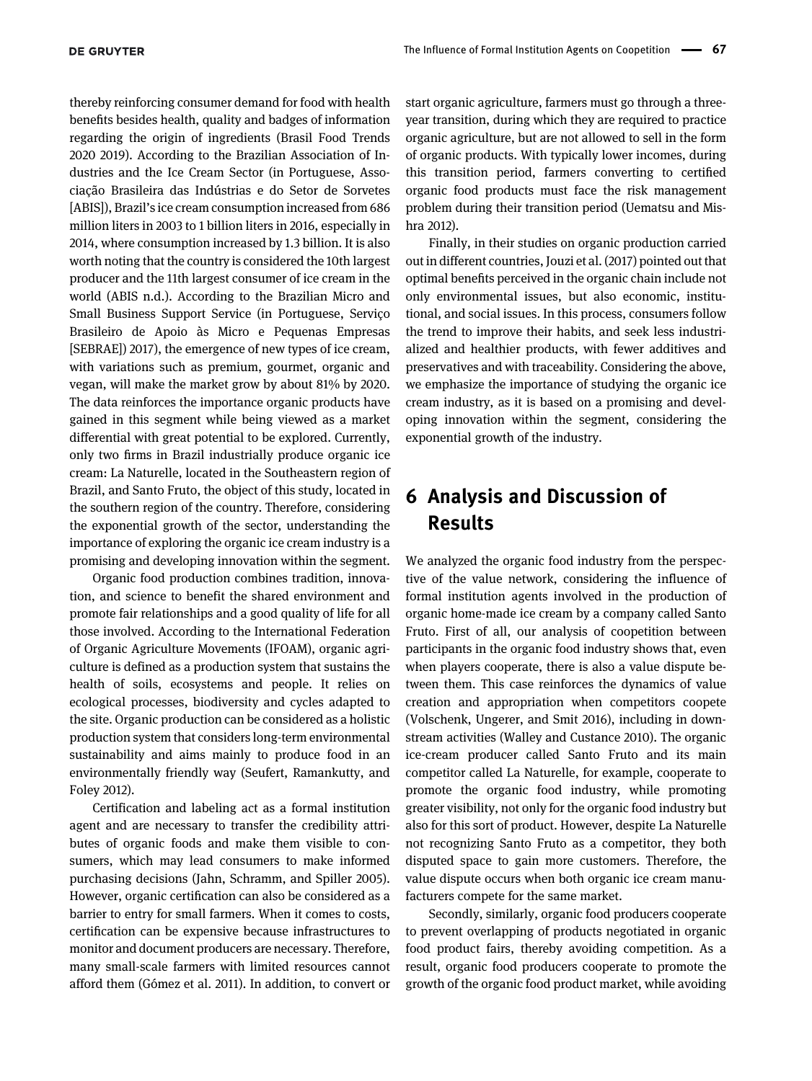thereby reinforcing consumer demand for food with health benefits besides health, quality and badges of information regarding the origin of ingredients ([Brasil Food Trends](#page-11-27) [2020 2019\)](#page-11-27). According to the Brazilian Association of Industries and the Ice Cream Sector (in Portuguese, Associação Brasileira das Indústrias e do Setor de Sorvetes [ABIS]), Brazil's ice cream consumption increased from 686 million liters in 2003 to 1 billion liters in 2016, especially in 2014, where consumption increased by 1.3 billion. It is also worth noting that the country is considered the 10th largest producer and the 11th largest consumer of ice cream in the world [\(ABIS n.d.\)](#page-10-6). According to the Brazilian Micro and Small Business Support Service (in Portuguese, [Serviço](#page-13-5) [Brasileiro de Apoio às Micro e Pequenas Empresas](#page-13-5) [\[SEBRAE\]\) 2017\),](#page-13-5) the emergence of new types of ice cream, with variations such as premium, gourmet, organic and vegan, will make the market grow by about 81% by 2020. The data reinforces the importance organic products have gained in this segment while being viewed as a market differential with great potential to be explored. Currently, only two firms in Brazil industrially produce organic ice cream: La Naturelle, located in the Southeastern region of Brazil, and Santo Fruto, the object of this study, located in the southern region of the country. Therefore, considering the exponential growth of the sector, understanding the importance of exploring the organic ice cream industry is a promising and developing innovation within the segment.

Organic food production combines tradition, innovation, and science to benefit the shared environment and promote fair relationships and a good quality of life for all those involved. According to the International Federation of Organic Agriculture Movements (IFOAM), organic agriculture is defined as a production system that sustains the health of soils, ecosystems and people. It relies on ecological processes, biodiversity and cycles adapted to the site. Organic production can be considered as a holistic production system that considers long-term environmental sustainability and aims mainly to produce food in an environmentally friendly way ([Seufert, Ramankutty, and](#page-13-6) [Foley 2012](#page-13-6)).

Certification and labeling act as a formal institution agent and are necessary to transfer the credibility attributes of organic foods and make them visible to consumers, which may lead consumers to make informed purchasing decisions [\(Jahn, Schramm, and Spiller 2005\)](#page-12-28). However, organic certification can also be considered as a barrier to entry for small farmers. When it comes to costs, certification can be expensive because infrastructures to monitor and document producers are necessary. Therefore, many small-scale farmers with limited resources cannot afford them ([Gómez et al. 2011](#page-11-28)). In addition, to convert or start organic agriculture, farmers must go through a threeyear transition, during which they are required to practice organic agriculture, but are not allowed to sell in the form of organic products. With typically lower incomes, during this transition period, farmers converting to certified organic food products must face the risk management problem during their transition period [\(Uematsu and Mis](#page-13-7)[hra 2012](#page-13-7)).

Finally, in their studies on organic production carried out in different countries, [Jouzi et al. \(2017\)](#page-12-29) pointed out that optimal benefits perceived in the organic chain include not only environmental issues, but also economic, institutional, and social issues. In this process, consumers follow the trend to improve their habits, and seek less industrialized and healthier products, with fewer additives and preservatives and with traceability. Considering the above, we emphasize the importance of studying the organic ice cream industry, as it is based on a promising and developing innovation within the segment, considering the exponential growth of the industry.

# 6 Analysis and Discussion of Results

We analyzed the organic food industry from the perspective of the value network, considering the influence of formal institution agents involved in the production of organic home-made ice cream by a company called Santo Fruto. First of all, our analysis of coopetition between participants in the organic food industry shows that, even when players cooperate, there is also a value dispute between them. This case reinforces the dynamics of value creation and appropriation when competitors coopete ([Volschenk, Ungerer, and Smit 2016](#page-13-0)), including in downstream activities ([Walley and Custance 2010\)](#page-13-2). The organic ice-cream producer called Santo Fruto and its main competitor called La Naturelle, for example, cooperate to promote the organic food industry, while promoting greater visibility, not only for the organic food industry but also for this sort of product. However, despite La Naturelle not recognizing Santo Fruto as a competitor, they both disputed space to gain more customers. Therefore, the value dispute occurs when both organic ice cream manufacturers compete for the same market.

Secondly, similarly, organic food producers cooperate to prevent overlapping of products negotiated in organic food product fairs, thereby avoiding competition. As a result, organic food producers cooperate to promote the growth of the organic food product market, while avoiding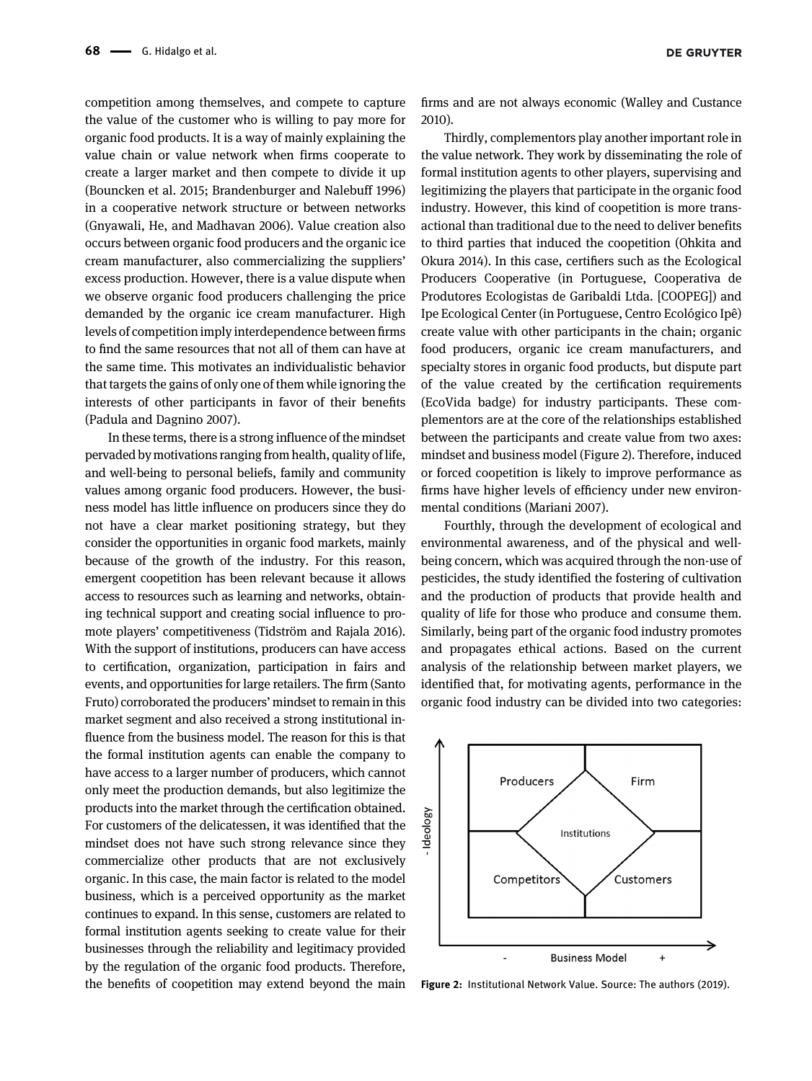competition among themselves, and compete to capture the value of the customer who is willing to pay more for organic food products. It is a way of mainly explaining the value chain or value network when firms cooperate to create a larger market and then compete to divide it up [\(Bouncken et al. 2015; Brandenburger and Nalebuff 1996\)](#page-11-4) in a cooperative network structure or between networks [\(Gnyawali, He, and Madhavan 2006](#page-11-29)). Value creation also occurs between organic food producers and the organic ice cream manufacturer, also commercializing the suppliers' excess production. However, there is a value dispute when we observe organic food producers challenging the price demanded by the organic ice cream manufacturer. High levels of competition imply interdependence between firms to find the same resources that not all of them can have at the same time. This motivates an individualistic behavior that targets the gains of only one of them while ignoring the interests of other participants in favor of their benefits [\(Padula and Dagnino 2007\)](#page-12-30).

In these terms, there is a strong influence of the mindset pervaded by motivations ranging from health, quality of life, and well-being to personal beliefs, family and community values among organic food producers. However, the business model has little influence on producers since they do not have a clear market positioning strategy, but they consider the opportunities in organic food markets, mainly because of the growth of the industry. For this reason, emergent coopetition has been relevant because it allows access to resources such as learning and networks, obtaining technical support and creating social influence to promote players' competitiveness ([Tidström and Rajala 2016](#page-13-8)). With the support of institutions, producers can have access to certification, organization, participation in fairs and events, and opportunities for large retailers. The firm (Santo Fruto) corroborated the producers' mindset to remain in this market segment and also received a strong institutional influence from the business model. The reason for this is that the formal institution agents can enable the company to have access to a larger number of producers, which cannot only meet the production demands, but also legitimize the products into the market through the certification obtained. For customers of the delicatessen, it was identified that the mindset does not have such strong relevance since they commercialize other products that are not exclusively organic. In this case, the main factor is related to the model business, which is a perceived opportunity as the market continues to expand. In this sense, customers are related to formal institution agents seeking to create value for their businesses through the reliability and legitimacy provided by the regulation of the organic food products. Therefore, the benefits of coopetition may extend beyond the main firms and are not always economic ([Walley and Custance](#page-13-2) [2010](#page-13-2)).

Thirdly, complementors play another important role in the value network. They work by disseminating the role of formal institution agents to other players, supervising and legitimizing the players that participate in the organic food industry. However, this kind of coopetition is more transactional than traditional due to the need to deliver benefits to third parties that induced the coopetition [\(Ohkita and](#page-12-23) [Okura 2014\)](#page-12-23). In this case, certifiers such as the Ecological Producers Cooperative (in Portuguese, Cooperativa de Produtores Ecologistas de Garibaldi Ltda. [COOPEG]) and Ipe Ecological Center (in Portuguese, Centro Ecológico Ipê) create value with other participants in the chain; organic food producers, organic ice cream manufacturers, and specialty stores in organic food products, but dispute part of the value created by the certification requirements (EcoVida badge) for industry participants. These complementors are at the core of the relationships established between the participants and create value from two axes: mindset and business model [\(Figure 2](#page-7-0)). Therefore, induced or forced coopetition is likely to improve performance as firms have higher levels of efficiency under new environmental conditions [\(Mariani 2007](#page-12-3)).

Fourthly, through the development of ecological and environmental awareness, and of the physical and wellbeing concern, which was acquired through the non-use of pesticides, the study identified the fostering of cultivation and the production of products that provide health and quality of life for those who produce and consume them. Similarly, being part of the organic food industry promotes and propagates ethical actions. Based on the current analysis of the relationship between market players, we identified that, for motivating agents, performance in the organic food industry can be divided into two categories:



<span id="page-7-0"></span>Figure 2: Institutional Network Value. Source: The authors (2019).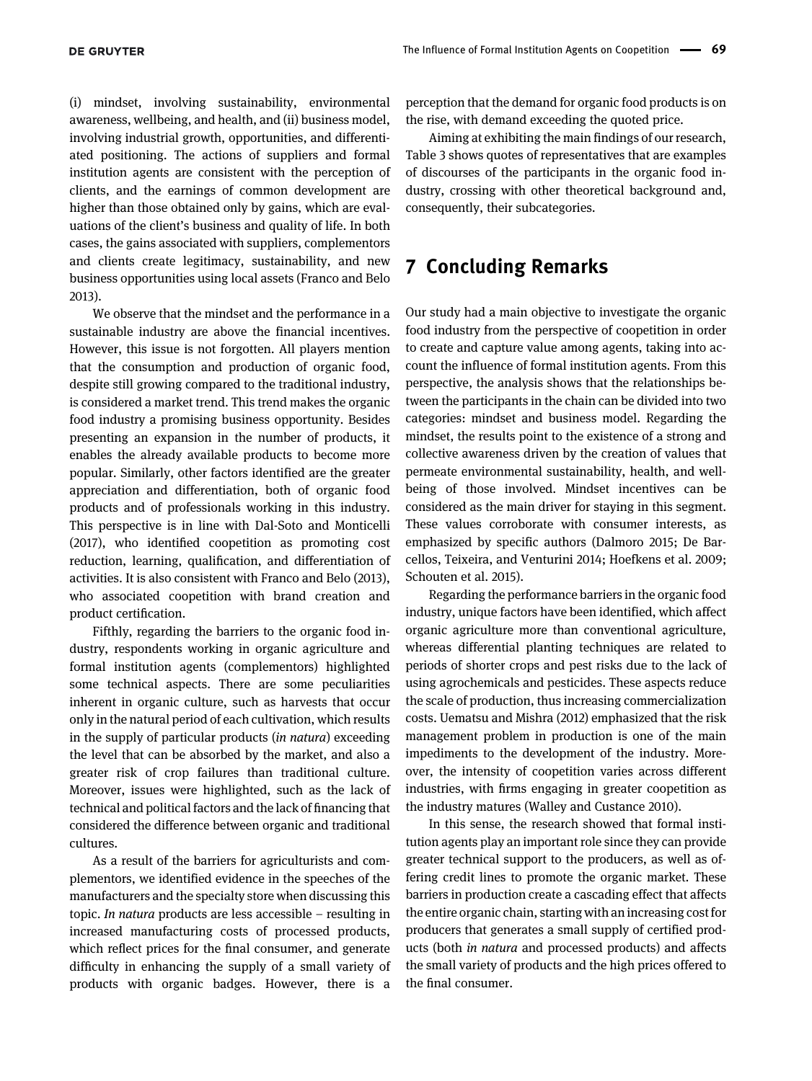(i) mindset, involving sustainability, environmental awareness, wellbeing, and health, and (ii) business model, involving industrial growth, opportunities, and differentiated positioning. The actions of suppliers and formal institution agents are consistent with the perception of clients, and the earnings of common development are higher than those obtained only by gains, which are evaluations of the client's business and quality of life. In both cases, the gains associated with suppliers, complementors and clients create legitimacy, sustainability, and new business opportunities using local assets ([Franco and Belo](#page-11-14) [2013\)](#page-11-14).

We observe that the mindset and the performance in a sustainable industry are above the financial incentives. However, this issue is not forgotten. All players mention that the consumption and production of organic food, despite still growing compared to the traditional industry, is considered a market trend. This trend makes the organic food industry a promising business opportunity. Besides presenting an expansion in the number of products, it enables the already available products to become more popular. Similarly, other factors identified are the greater appreciation and differentiation, both of organic food products and of professionals working in this industry. This perspective is in line with [Dal-Soto and Monticelli](#page-11-30) [\(2017\),](#page-11-30) who identified coopetition as promoting cost reduction, learning, qualification, and differentiation of activities. It is also consistent with [Franco and Belo \(2013\),](#page-11-14) who associated coopetition with brand creation and product certification.

Fifthly, regarding the barriers to the organic food industry, respondents working in organic agriculture and formal institution agents (complementors) highlighted some technical aspects. There are some peculiarities inherent in organic culture, such as harvests that occur only in the natural period of each cultivation, which results in the supply of particular products (in natura) exceeding the level that can be absorbed by the market, and also a greater risk of crop failures than traditional culture. Moreover, issues were highlighted, such as the lack of technical and political factors and the lack of financing that considered the difference between organic and traditional cultures.

As a result of the barriers for agriculturists and complementors, we identified evidence in the speeches of the manufacturers and the specialty store when discussing this topic. In natura products are less accessible – resulting in increased manufacturing costs of processed products, which reflect prices for the final consumer, and generate difficulty in enhancing the supply of a small variety of products with organic badges. However, there is a perception that the demand for organic food products is on the rise, with demand exceeding the quoted price.

Aiming at exhibiting the main findings of our research, [Table 3](#page-9-0) shows quotes of representatives that are examples of discourses of the participants in the organic food industry, crossing with other theoretical background and, consequently, their subcategories.

## 7 Concluding Remarks

Our study had a main objective to investigate the organic food industry from the perspective of coopetition in order to create and capture value among agents, taking into account the influence of formal institution agents. From this perspective, the analysis shows that the relationships between the participants in the chain can be divided into two categories: mindset and business model. Regarding the mindset, the results point to the existence of a strong and collective awareness driven by the creation of values that permeate environmental sustainability, health, and wellbeing of those involved. Mindset incentives can be considered as the main driver for staying in this segment. These values corroborate with consumer interests, as emphasized by specific authors [\(Dalmoro 2015; De Bar](#page-11-26)[cellos, Teixeira, and Venturini 2014](#page-11-26); [Hoefkens et al. 2009;](#page-12-27) [Schouten et al. 2015\)](#page-12-27).

Regarding the performance barriers in the organic food industry, unique factors have been identified, which affect organic agriculture more than conventional agriculture, whereas differential planting techniques are related to periods of shorter crops and pest risks due to the lack of using agrochemicals and pesticides. These aspects reduce the scale of production, thus increasing commercialization costs. [Uematsu and Mishra \(2012\)](#page-13-7) emphasized that the risk management problem in production is one of the main impediments to the development of the industry. Moreover, the intensity of coopetition varies across different industries, with firms engaging in greater coopetition as the industry matures ([Walley and Custance 2010\)](#page-13-2).

In this sense, the research showed that formal institution agents play an important role since they can provide greater technical support to the producers, as well as offering credit lines to promote the organic market. These barriers in production create a cascading effect that affects the entire organic chain, starting with an increasing cost for producers that generates a small supply of certified products (both in natura and processed products) and affects the small variety of products and the high prices offered to the final consumer.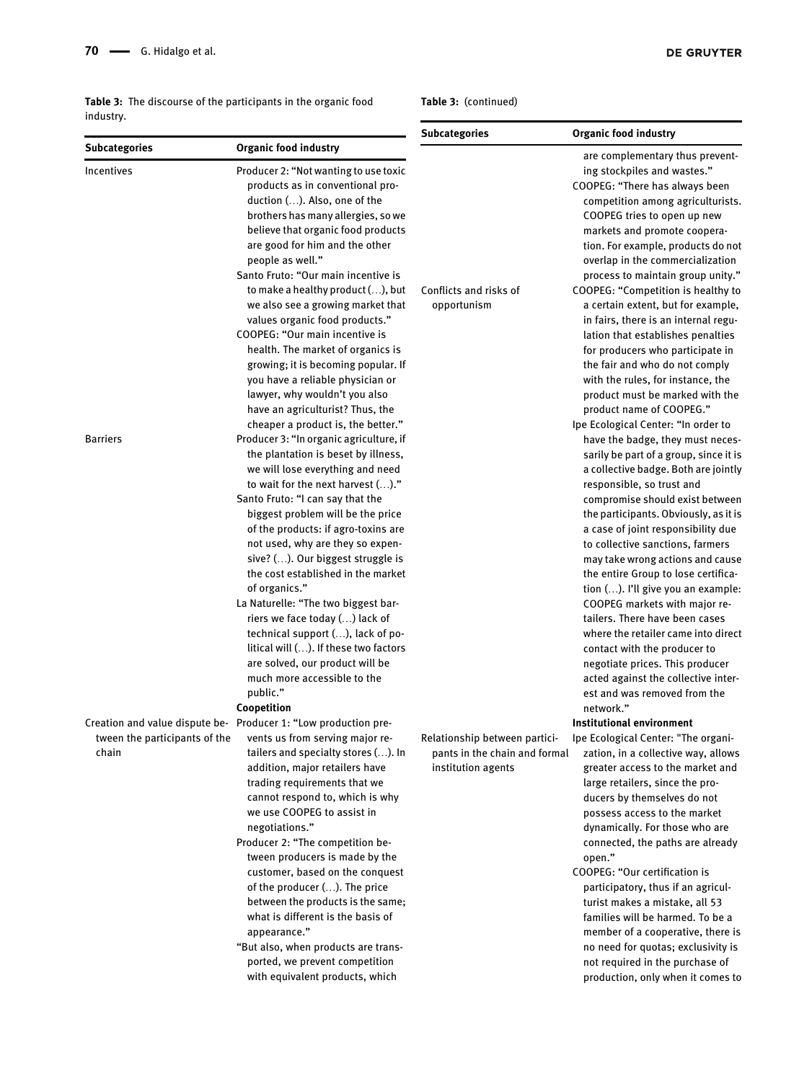<span id="page-9-0"></span>Table 3: The discourse of the participants in the organic food industry.

Incentives Producer 2: "Not wanting to use toxic

products as in conventional production (…). Also, one of the brothers has many allergies, so we

Subcategories Organic food industry

| Table 3: (continued) |                                                                     |  |  |  |
|----------------------|---------------------------------------------------------------------|--|--|--|
| <b>Subcategories</b> | Organic food industry                                               |  |  |  |
|                      | are complementary thus prevent-<br>ing stockpiles and wastes."      |  |  |  |
|                      | COOPEG: "There has always been<br>competition among agriculturists. |  |  |  |
|                      | COOPEG tries to open up new<br>.                                    |  |  |  |

|                               | believe that organic food products<br>are good for him and the other |                               | markets and promote coopera-<br>tion. For example, products do not |
|-------------------------------|----------------------------------------------------------------------|-------------------------------|--------------------------------------------------------------------|
|                               | people as well."                                                     |                               | overlap in the commercialization                                   |
|                               | Santo Fruto: "Our main incentive is                                  |                               | process to maintain group unity."                                  |
|                               | to make a healthy product (), but                                    | Conflicts and risks of        | COOPEG: "Competition is healthy to                                 |
|                               | we also see a growing market that                                    | opportunism                   | a certain extent, but for example,                                 |
|                               | values organic food products."                                       |                               | in fairs, there is an internal regu-                               |
|                               | COOPEG: "Our main incentive is                                       |                               | lation that establishes penalties                                  |
|                               | health. The market of organics is                                    |                               | for producers who participate in                                   |
|                               | growing; it is becoming popular. If                                  |                               | the fair and who do not comply                                     |
|                               | you have a reliable physician or                                     |                               | with the rules, for instance, the                                  |
|                               | lawyer, why wouldn't you also                                        |                               | product must be marked with the                                    |
|                               | have an agriculturist? Thus, the                                     |                               | product name of COOPEG."                                           |
|                               | cheaper a product is, the better."                                   |                               | Ipe Ecological Center: "In order to                                |
| <b>Barriers</b>               | Producer 3: "In organic agriculture, if                              |                               | have the badge, they must neces-                                   |
|                               | the plantation is beset by illness,                                  |                               | sarily be part of a group, since it is                             |
|                               | we will lose everything and need                                     |                               | a collective badge. Both are jointly                               |
|                               | to wait for the next harvest ()."                                    |                               | responsible, so trust and                                          |
|                               | Santo Fruto: "I can say that the                                     |                               | compromise should exist between                                    |
|                               | biggest problem will be the price                                    |                               | the participants. Obviously, as it is                              |
|                               | of the products: if agro-toxins are                                  |                               | a case of joint responsibility due                                 |
|                               | not used, why are they so expen-                                     |                               | to collective sanctions, farmers                                   |
|                               | sive? (). Our biggest struggle is                                    |                               | may take wrong actions and cause                                   |
|                               | the cost established in the market                                   |                               | the entire Group to lose certifica-                                |
|                               | of organics."                                                        |                               | tion (). I'll give you an example:                                 |
|                               | La Naturelle: "The two biggest bar-                                  |                               | COOPEG markets with major re-                                      |
|                               | riers we face today () lack of                                       |                               | tailers. There have been cases                                     |
|                               | technical support (), lack of po-                                    |                               | where the retailer came into direct                                |
|                               | litical will (). If these two factors                                |                               | contact with the producer to                                       |
|                               | are solved, our product will be                                      |                               | negotiate prices. This producer                                    |
|                               | much more accessible to the                                          |                               | acted against the collective inter-                                |
|                               | public."                                                             |                               | est and was removed from the                                       |
|                               | Coopetition                                                          |                               | network."                                                          |
|                               | Creation and value dispute be- Producer 1: "Low production pre-      |                               | Institutional environment                                          |
| tween the participants of the | vents us from serving major re-                                      |                               |                                                                    |
| chain                         | tailers and specialty stores (). In                                  | Relationship between partici- | Ipe Ecological Center: "The organi-                                |
|                               |                                                                      | pants in the chain and formal | zation, in a collective way, allows                                |
|                               | addition, major retailers have<br>trading requirements that we       | institution agents            | greater access to the market and                                   |
|                               | cannot respond to, which is why                                      |                               | large retailers, since the pro-<br>ducers by themselves do not     |
|                               | we use COOPEG to assist in                                           |                               |                                                                    |
|                               |                                                                      |                               | possess access to the market<br>dynamically. For those who are     |
|                               | negotiations."<br>Producer 2: "The competition be-                   |                               |                                                                    |
|                               |                                                                      |                               | connected, the paths are already                                   |
|                               | tween producers is made by the                                       |                               | open."<br>COOPEG: "Our certification is                            |
|                               | customer, based on the conquest                                      |                               |                                                                    |
|                               | of the producer (). The price                                        |                               | participatory, thus if an agricul-                                 |
|                               | between the products is the same;                                    |                               | turist makes a mistake, all 53                                     |
|                               | what is different is the basis of                                    |                               | families will be harmed. To be a                                   |
|                               | appearance."                                                         |                               | member of a cooperative, there is                                  |
|                               | "But also, when products are trans-                                  |                               | no need for quotas; exclusivity is                                 |
|                               | ported, we prevent competition                                       |                               | not required in the purchase of                                    |
|                               | with equivalent products, which                                      |                               | production, only when it comes to                                  |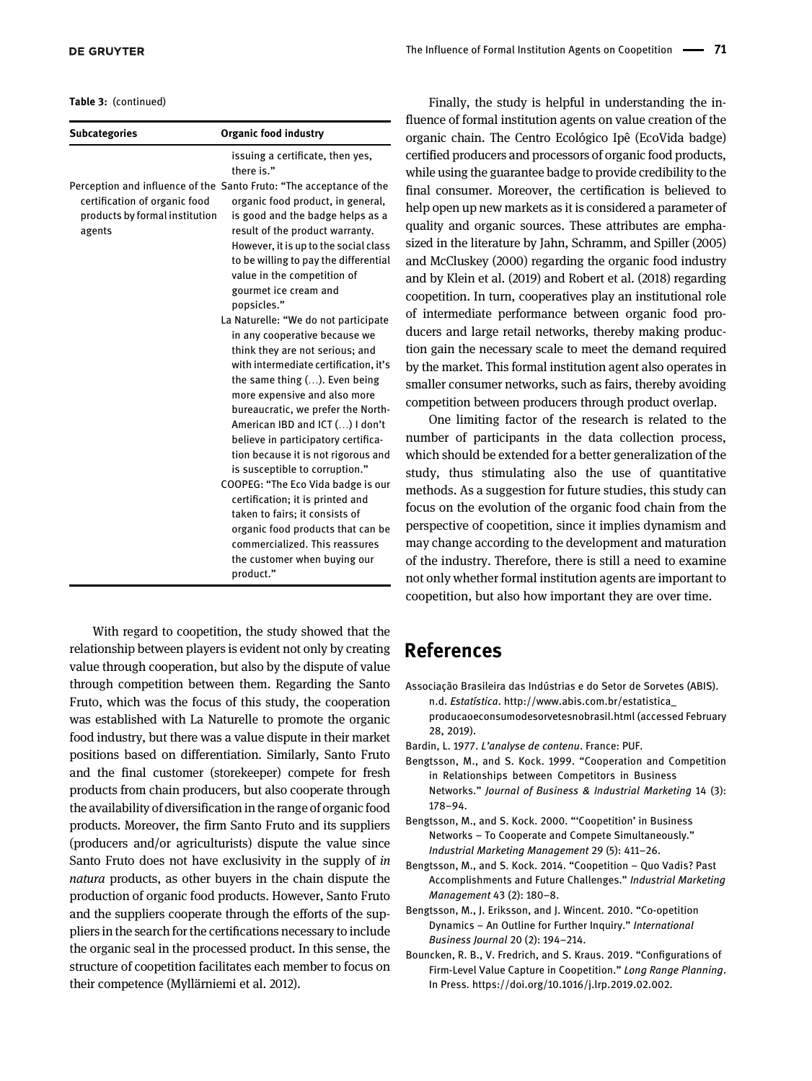Table 3: (continued)

| <b>Subcategories</b>                                                      | <b>Organic food industry</b>                                                                                                                                                                                                                                                                                                                                                                                                                                                                                                                                                                                                                                                                                             |
|---------------------------------------------------------------------------|--------------------------------------------------------------------------------------------------------------------------------------------------------------------------------------------------------------------------------------------------------------------------------------------------------------------------------------------------------------------------------------------------------------------------------------------------------------------------------------------------------------------------------------------------------------------------------------------------------------------------------------------------------------------------------------------------------------------------|
|                                                                           | issuing a certificate, then yes,<br>there is."                                                                                                                                                                                                                                                                                                                                                                                                                                                                                                                                                                                                                                                                           |
| certification of organic food<br>products by formal institution<br>agents | Perception and influence of the Santo Fruto: "The acceptance of the<br>organic food product, in general,<br>is good and the badge helps as a<br>result of the product warranty.<br>However, it is up to the social class<br>to be willing to pay the differential<br>value in the competition of<br>gourmet ice cream and<br>popsicles."<br>La Naturelle: "We do not participate<br>in any cooperative because we<br>think they are not serious; and<br>with intermediate certification, it's<br>the same thing $()$ . Even being<br>more expensive and also more<br>bureaucratic, we prefer the North-<br>American IBD and ICT () I don't<br>believe in participatory certifica-<br>tion because it is not rigorous and |
|                                                                           | is susceptible to corruption."<br>COOPEG: "The Eco Vida badge is our                                                                                                                                                                                                                                                                                                                                                                                                                                                                                                                                                                                                                                                     |
|                                                                           | certification; it is printed and                                                                                                                                                                                                                                                                                                                                                                                                                                                                                                                                                                                                                                                                                         |
|                                                                           | taken to fairs; it consists of                                                                                                                                                                                                                                                                                                                                                                                                                                                                                                                                                                                                                                                                                           |
|                                                                           | organic food products that can be                                                                                                                                                                                                                                                                                                                                                                                                                                                                                                                                                                                                                                                                                        |
|                                                                           | commercialized. This reassures                                                                                                                                                                                                                                                                                                                                                                                                                                                                                                                                                                                                                                                                                           |
|                                                                           | the customer when buying our                                                                                                                                                                                                                                                                                                                                                                                                                                                                                                                                                                                                                                                                                             |
|                                                                           | product."                                                                                                                                                                                                                                                                                                                                                                                                                                                                                                                                                                                                                                                                                                                |

With regard to coopetition, the study showed that the relationship between players is evident not only by creating value through cooperation, but also by the dispute of value through competition between them. Regarding the Santo Fruto, which was the focus of this study, the cooperation was established with La Naturelle to promote the organic food industry, but there was a value dispute in their market positions based on differentiation. Similarly, Santo Fruto and the final customer (storekeeper) compete for fresh products from chain producers, but also cooperate through the availability of diversification in the range of organic food products. Moreover, the firm Santo Fruto and its suppliers (producers and/or agriculturists) dispute the value since Santo Fruto does not have exclusivity in the supply of in natura products, as other buyers in the chain dispute the production of organic food products. However, Santo Fruto and the suppliers cooperate through the efforts of the suppliers in the search for the certifications necessary to include the organic seal in the processed product. In this sense, the structure of coopetition facilitates each member to focus on their competence [\(Myllärniemi et al. 2012\)](#page-12-2).

Finally, the study is helpful in understanding the influence of formal institution agents on value creation of the organic chain. The Centro Ecológico Ipê (EcoVida badge) certified producers and processors of organic food products, while using the guarantee badge to provide credibility to the final consumer. Moreover, the certification is believed to help open up new markets as it is considered a parameter of quality and organic sources. These attributes are emphasized in the literature by [Jahn, Schramm, and Spiller \(2005\)](#page-12-28) [and McCluskey \(2000\)](#page-12-28) regarding the organic food industry and by [Klein et al. \(2019\) and Robert et al. \(2018\)](#page-12-17) regarding coopetition. In turn, cooperatives play an institutional role of intermediate performance between organic food producers and large retail networks, thereby making production gain the necessary scale to meet the demand required by the market. This formal institution agent also operates in smaller consumer networks, such as fairs, thereby avoiding competition between producers through product overlap.

One limiting factor of the research is related to the number of participants in the data collection process, which should be extended for a better generalization of the study, thus stimulating also the use of quantitative methods. As a suggestion for future studies, this study can focus on the evolution of the organic food chain from the perspective of coopetition, since it implies dynamism and may change according to the development and maturation of the industry. Therefore, there is still a need to examine not only whether formal institution agents are important to coopetition, but also how important they are over time.

# References

- <span id="page-10-6"></span>Associação Brasileira das Indústrias e do Setor de Sorvetes (ABIS). n.d. Estatística. [http://www.abis.com.br/estatistica\\_](http://www.abis.com.br/estatistica_producaoeconsumodesorvetesnobrasil.html) [producaoeconsumodesorvetesnobrasil.html](http://www.abis.com.br/estatistica_producaoeconsumodesorvetesnobrasil.html) (accessed February 28, 2019).
- <span id="page-10-5"></span>Bardin, L. 1977. L'analyse de contenu. France: PUF.
- <span id="page-10-4"></span>Bengtsson, M., and S. Kock. 1999. "Cooperation and Competition in Relationships between Competitors in Business Networks." Journal of Business & Industrial Marketing 14 (3): 178–94.
- <span id="page-10-3"></span>Bengtsson, M., and S. Kock. 2000. "'Coopetition' in Business Networks – To Cooperate and Compete Simultaneously." Industrial Marketing Management 29 (5): 411–26.
- <span id="page-10-0"></span>Bengtsson, M., and S. Kock. 2014. "Coopetition – Quo Vadis? Past Accomplishments and Future Challenges." Industrial Marketing Management 43 (2): 180–8.
- <span id="page-10-2"></span>Bengtsson, M., J. Eriksson, and J. Wincent. 2010. "Co-opetition Dynamics – An Outline for Further Inquiry." International Business Journal 20 (2): 194–214.
- <span id="page-10-1"></span>Bouncken, R. B., V. Fredrich, and S. Kraus. 2019. "Configurations of Firm-Level Value Capture in Coopetition." Long Range Planning. In Press.<https://doi.org/10.1016/j.lrp.2019.02.002>.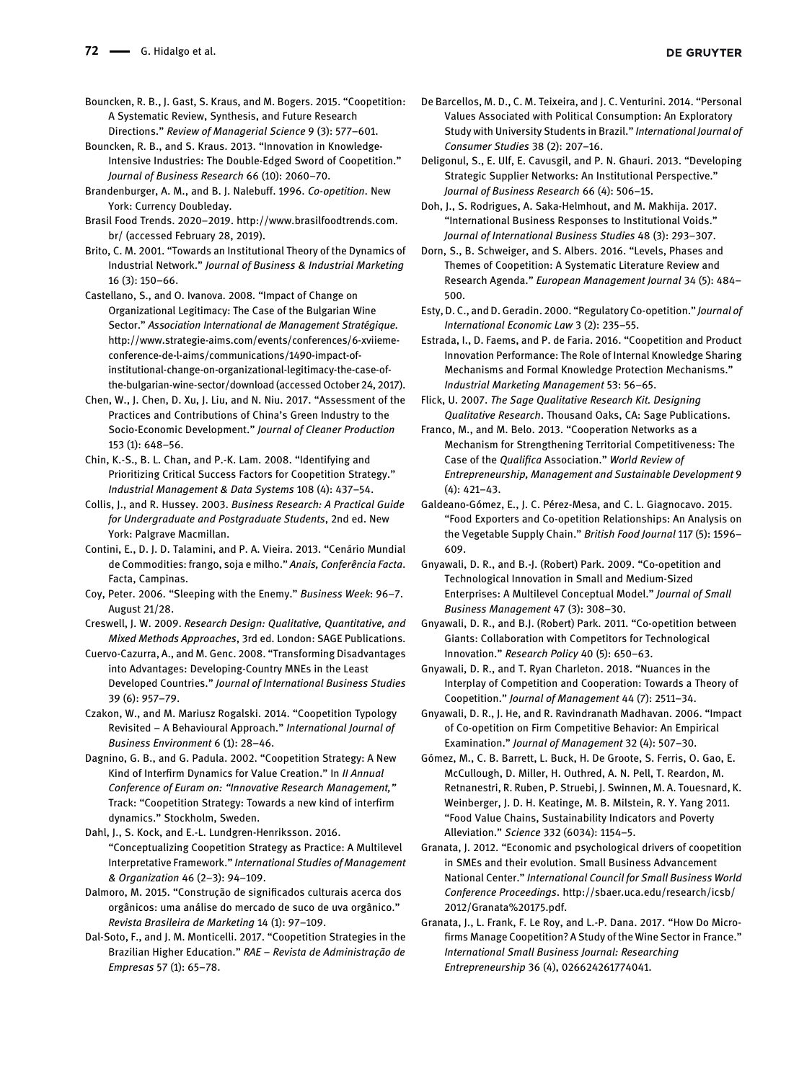- <span id="page-11-8"></span><span id="page-11-4"></span>Bouncken, R. B., and S. Kraus. 2013. "Innovation in Knowledge-Intensive Industries: The Double-Edged Sword of Coopetition." Journal of Business Research 66 (10): 2060–70.
- <span id="page-11-6"></span>Brandenburger, A. M., and B. J. Nalebuff. 1996. Co-opetition. New York: Currency Doubleday.
- <span id="page-11-27"></span>Brasil Food Trends. 2020–2019. [http://www.brasilfoodtrends.com.](http://www.brasilfoodtrends.com.br/) [br/](http://www.brasilfoodtrends.com.br/) (accessed February 28, 2019).
- <span id="page-11-17"></span>Brito, C. M. 2001. "Towards an Institutional Theory of the Dynamics of Industrial Network." Journal of Business & Industrial Marketing 16 (3): 150–66.
- <span id="page-11-19"></span>Castellano, S., and O. Ivanova. 2008. "Impact of Change on Organizational Legitimacy: The Case of the Bulgarian Wine Sector." Association International de Management Stratégique. [http://www.strategie-aims.com/events/conferences/6-xviieme](http://www.strategie-aims.com/events/conferences/6-xviieme-conference-de-l-aims/communications/1490-impact-of-institutional-change-on-organizational-legitimacy-the-case-of-the-bulgarian-wine-sector/download)[conference-de-l-aims/communications/1490-impact-of](http://www.strategie-aims.com/events/conferences/6-xviieme-conference-de-l-aims/communications/1490-impact-of-institutional-change-on-organizational-legitimacy-the-case-of-the-bulgarian-wine-sector/download)[institutional-change-on-organizational-legitimacy-the-case-of](http://www.strategie-aims.com/events/conferences/6-xviieme-conference-de-l-aims/communications/1490-impact-of-institutional-change-on-organizational-legitimacy-the-case-of-the-bulgarian-wine-sector/download)[the-bulgarian-wine-sector/download](http://www.strategie-aims.com/events/conferences/6-xviieme-conference-de-l-aims/communications/1490-impact-of-institutional-change-on-organizational-legitimacy-the-case-of-the-bulgarian-wine-sector/download) (accessed October 24, 2017).
- <span id="page-11-0"></span>Chen, W., J. Chen, D. Xu, J. Liu, and N. Niu. 2017. "Assessment of the Practices and Contributions of China's Green Industry to the Socio-Economic Development." Journal of Cleaner Production 153 (1): 648–56.
- <span id="page-11-12"></span>Chin, K.-S., B. L. Chan, and P.-K. Lam. 2008. "Identifying and Prioritizing Critical Success Factors for Coopetition Strategy." Industrial Management & Data Systems 108 (4): 437–54.
- <span id="page-11-25"></span>Collis, J., and R. Hussey. 2003. Business Research: A Practical Guide for Undergraduate and Postgraduate Students, 2nd ed. New York: Palgrave Macmillan.
- <span id="page-11-1"></span>Contini, E., D. J. D. Talamini, and P. A. Vieira. 2013. "Cenário Mundial de Commodities: frango, soja e milho." Anais, Conferência Facta. Facta, Campinas.
- <span id="page-11-10"></span>Coy, Peter. 2006. "Sleeping with the Enemy." Business Week: 96–7. August 21/28.
- <span id="page-11-24"></span>Creswell, J. W. 2009. Research Design: Qualitative, Quantitative, and Mixed Methods Approaches, 3rd ed. London: SAGE Publications.
- <span id="page-11-5"></span>Cuervo-Cazurra, A., and M. Genc. 2008. "Transforming Disadvantages into Advantages: Developing-Country MNEs in the Least Developed Countries." Journal of International Business Studies 39 (6): 957–79.
- <span id="page-11-2"></span>Czakon, W., and M. Mariusz Rogalski. 2014. "Coopetition Typology Revisited – A Behavioural Approach." International Journal of Business Environment 6 (1): 28–46.
- <span id="page-11-13"></span>Dagnino, G. B., and G. Padula. 2002. "Coopetition Strategy: A New Kind of Interfirm Dynamics for Value Creation." In II Annual Conference of Euram on: "Innovative Research Management," Track: "Coopetition Strategy: Towards a new kind of interfirm dynamics." Stockholm, Sweden.
- <span id="page-11-22"></span>Dahl, J., S. Kock, and E.-L. Lundgren-Henriksson. 2016. "Conceptualizing Coopetition Strategy as Practice: A Multilevel Interpretative Framework." International Studies of Management & Organization 46 (2–3): 94–109.
- <span id="page-11-26"></span>Dalmoro, M. 2015. "Construção de significados culturais acerca dos orgânicos: uma análise do mercado de suco de uva orgânico." Revista Brasileira de Marketing 14 (1): 97–109.
- <span id="page-11-30"></span>Dal-Soto, F., and J. M. Monticelli. 2017. "Coopetition Strategies in the Brazilian Higher Education." RAE – Revista de Administração de Empresas 57 (1): 65–78.
- De Barcellos, M. D., C. M. Teixeira, and J. C. Venturini. 2014. "Personal Values Associated with Political Consumption: An Exploratory Study with University Students in Brazil." International Journal of Consumer Studies 38 (2): 207–16.
- <span id="page-11-18"></span>Deligonul, S., E. Ulf, E. Cavusgil, and P. N. Ghauri. 2013. "Developing Strategic Supplier Networks: An Institutional Perspective." Journal of Business Research 66 (4): 506–15.
- <span id="page-11-21"></span>Doh, J., S. Rodrigues, A. Saka-Helmhout, and M. Makhija. 2017. "International Business Responses to Institutional Voids." Journal of International Business Studies 48 (3): 293–307.
- <span id="page-11-7"></span>Dorn, S., B. Schweiger, and S. Albers. 2016. "Levels, Phases and Themes of Coopetition: A Systematic Literature Review and Research Agenda." European Management Journal 34 (5): 484– 500.
- <span id="page-11-20"></span>Esty, D. C., and D. Geradin. 2000. "Regulatory Co-opetition." Journal of International Economic Law 3 (2): 235–55.
- Estrada, I., D. Faems, and P. de Faria. 2016. "Coopetition and Product Innovation Performance: The Role of Internal Knowledge Sharing Mechanisms and Formal Knowledge Protection Mechanisms." Industrial Marketing Management 53: 56–65.
- <span id="page-11-23"></span>Flick, U. 2007. The Sage Qualitative Research Kit. Designing Qualitative Research. Thousand Oaks, CA: Sage Publications.
- <span id="page-11-14"></span>Franco, M., and M. Belo. 2013. "Cooperation Networks as a Mechanism for Strengthening Territorial Competitiveness: The Case of the Qualifica Association." World Review of Entrepreneurship, Management and Sustainable Development 9 (4): 421–43.
- <span id="page-11-9"></span>Galdeano-Gómez, E., J. C. Pérez-Mesa, and C. L. Giagnocavo. 2015. "Food Exporters and Co-opetition Relationships: An Analysis on the Vegetable Supply Chain." British Food Journal 117 (5): 1596– 609.
- <span id="page-11-3"></span>Gnyawali, D. R., and B.-J. (Robert) Park. 2009. "Co-opetition and Technological Innovation in Small and Medium-Sized Enterprises: A Multilevel Conceptual Model." Journal of Small Business Management 47 (3): 308–30.
- <span id="page-11-11"></span>Gnyawali, D. R., and B.J. (Robert) Park. 2011. "Co-opetition between Giants: Collaboration with Competitors for Technological Innovation." Research Policy 40 (5): 650–63.
- <span id="page-11-16"></span>Gnyawali, D. R., and T. Ryan Charleton. 2018. "Nuances in the Interplay of Competition and Cooperation: Towards a Theory of Coopetition." Journal of Management 44 (7): 2511–34.
- <span id="page-11-29"></span>Gnyawali, D. R., J. He, and R. Ravindranath Madhavan. 2006. "Impact of Co-opetition on Firm Competitive Behavior: An Empirical Examination." Journal of Management 32 (4): 507–30.
- <span id="page-11-28"></span>Gómez, M., C. B. Barrett, L. Buck, H. De Groote, S. Ferris, O. Gao, E. McCullough, D. Miller, H. Outhred, A. N. Pell, T. Reardon, M. Retnanestri, R. Ruben, P. Struebi, J. Swinnen, M. A. Touesnard, K. Weinberger, J. D. H. Keatinge, M. B. Milstein, R. Y. Yang 2011. "Food Value Chains, Sustainability Indicators and Poverty Alleviation." Science 332 (6034): 1154–5.
- Granata, J. 2012. "Economic and psychological drivers of coopetition in SMEs and their evolution. Small Business Advancement National Center." International Council for Small Business World Conference Proceedings. [http://sbaer.uca.edu/research/icsb/](http://sbaer.uca.edu/research/icsb/2012/Granata%20175.pdf) [2012/Granata%20175.pdf.](http://sbaer.uca.edu/research/icsb/2012/Granata%20175.pdf)
- <span id="page-11-15"></span>Granata, J., L. Frank, F. Le Roy, and L.-P. Dana. 2017. "How Do Microfirms Manage Coopetition? A Study of the Wine Sector in France." International Small Business Journal: Researching Entrepreneurship 36 (4), 026624261774041.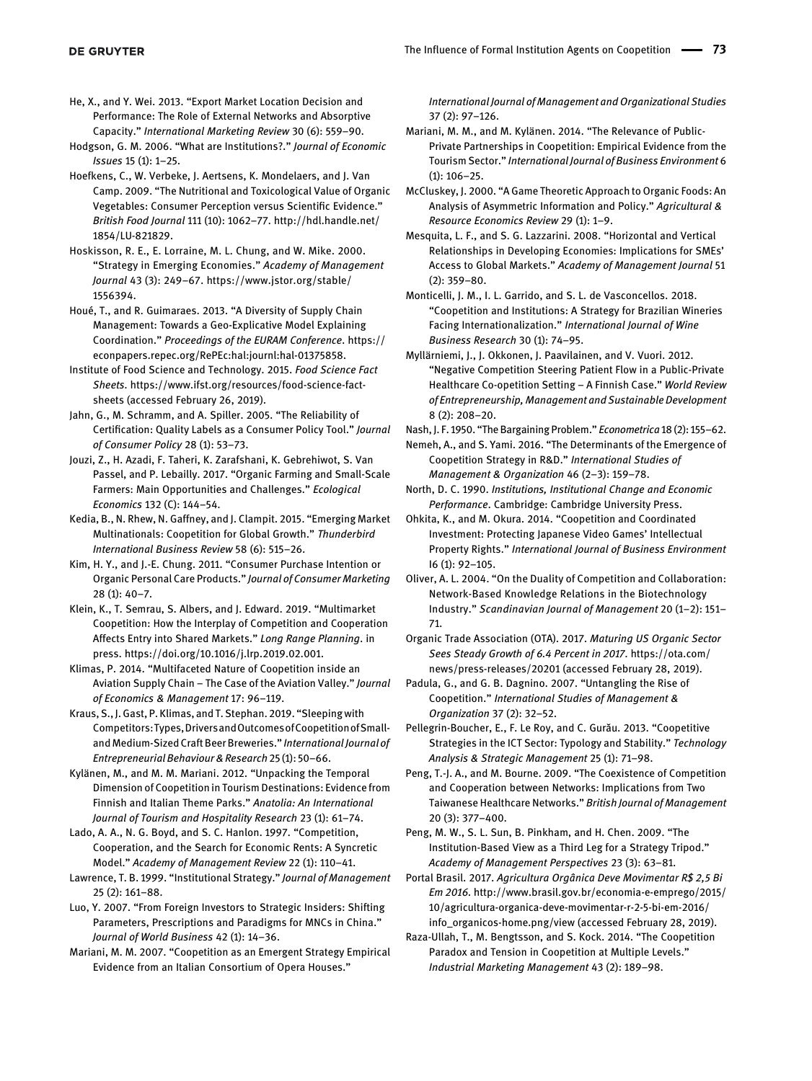<span id="page-12-7"></span>He, X., and Y. Wei. 2013. "Export Market Location Decision and Performance: The Role of External Networks and Absorptive Capacity." International Marketing Review 30 (6): 559–90.

<span id="page-12-18"></span>Hodgson, G. M. 2006. "What are Institutions?." Journal of Economic Issues 15 (1): 1–25.

<span id="page-12-27"></span>Hoefkens, C., W. Verbeke, J. Aertsens, K. Mondelaers, and J. Van Camp. 2009. "The Nutritional and Toxicological Value of Organic Vegetables: Consumer Perception versus Scientific Evidence." British Food Journal 111 (10): 1062–77. [http://hdl.handle.net/](http://hdl.handle.net/1854/LU-821829) [1854/LU-821829.](http://hdl.handle.net/1854/LU-821829)

<span id="page-12-6"></span>Hoskisson, R. E., E. Lorraine, M. L. Chung, and W. Mike. 2000. "Strategy in Emerging Economies." Academy of Management Journal 43 (3): 249–67. [https://www.jstor.org/stable/](https://www.jstor.org/stable/1556394) [1556394.](https://www.jstor.org/stable/1556394)

<span id="page-12-11"></span>Houé, T., and R. Guimaraes. 2013. "A Diversity of Supply Chain Management: Towards a Geo-Explicative Model Explaining Coordination." Proceedings of the EURAM Conference. [https://](https://econpapers.repec.org/RePEc:hal:journl:hal-01375858) [econpapers.repec.org/RePEc:hal:journl:hal-01375858.](https://econpapers.repec.org/RePEc:hal:journl:hal-01375858)

<span id="page-12-0"></span>Institute of Food Science and Technology. 2015. Food Science Fact Sheets. [https://www.ifst.org/resources/food-science-fact](https://www.ifst.org/resources/food-science-fact-sheets)[sheets](https://www.ifst.org/resources/food-science-fact-sheets) (accessed February 26, 2019).

<span id="page-12-28"></span>Jahn, G., M. Schramm, and A. Spiller. 2005. "The Reliability of Certification: Quality Labels as a Consumer Policy Tool." Journal of Consumer Policy 28 (1): 53–73.

<span id="page-12-29"></span>Jouzi, Z., H. Azadi, F. Taheri, K. Zarafshani, K. Gebrehiwot, S. Van Passel, and P. Lebailly. 2017. "Organic Farming and Small-Scale Farmers: Main Opportunities and Challenges." Ecological Economics 132 (C): 144–54.

<span id="page-12-26"></span>Kedia, B., N. Rhew, N. Gaffney, and J. Clampit. 2015. "Emerging Market Multinationals: Coopetition for Global Growth." Thunderbird International Business Review 58 (6): 515–26.

<span id="page-12-1"></span>Kim, H. Y., and J.-E. Chung. 2011. "Consumer Purchase Intention or Organic Personal Care Products." Journal of Consumer Marketing  $28(1): 40-7.$ 

<span id="page-12-17"></span>Klein, K., T. Semrau, S. Albers, and J. Edward. 2019. "Multimarket Coopetition: How the Interplay of Competition and Cooperation Affects Entry into Shared Markets." Long Range Planning. in press.<https://doi.org/10.1016/j.lrp.2019.02.001>.

<span id="page-12-10"></span>Klimas, P. 2014. "Multifaceted Nature of Coopetition inside an Aviation Supply Chain – The Case of the Aviation Valley." Journal of Economics & Management 17: 96–119.

<span id="page-12-15"></span>Kraus, S., J. Gast, P. Klimas, and T. Stephan. 2019. "Sleepingwith Competitors:Types,DriversandOutcomesofCoopetitionofSmalland Medium-Sized Craft Beer Breweries." International Journal of Entrepreneurial Behaviour & Research 25 (1): 50–66.

<span id="page-12-4"></span>Kylänen, M., and M. M. Mariani. 2012. "Unpacking the Temporal Dimension of Coopetition in Tourism Destinations: Evidence from Finnish and Italian Theme Parks." Anatolia: An International Journal of Tourism and Hospitality Research 23 (1): 61–74.

<span id="page-12-13"></span>Lado, A. A., N. G. Boyd, and S. C. Hanlon. 1997. "Competition, Cooperation, and the Search for Economic Rents: A Syncretic Model." Academy of Management Review 22 (1): 110–41.

<span id="page-12-22"></span>Lawrence, T. B. 1999. "Institutional Strategy." Journal of Management 25 (2): 161–88.

<span id="page-12-16"></span>Luo, Y. 2007. "From Foreign Investors to Strategic Insiders: Shifting Parameters, Prescriptions and Paradigms for MNCs in China." Journal of World Business 42 (1): 14–36.

<span id="page-12-3"></span>Mariani, M. M. 2007. "Coopetition as an Emergent Strategy Empirical Evidence from an Italian Consortium of Opera Houses."

International Journal of Management and Organizational Studies 37 (2): 97–126.

<span id="page-12-24"></span>Mariani, M. M., and M. Kylänen. 2014. "The Relevance of Public-Private Partnerships in Coopetition: Empirical Evidence from the Tourism Sector." International Journal of Business Environment 6 (1): 106–25.

McCluskey, J. 2000. "A Game Theoretic Approach to Organic Foods: An Analysis of Asymmetric Information and Policy." Agricultural & Resource Economics Review 29 (1): 1–9.

Mesquita, L. F., and S. G. Lazzarini. 2008. "Horizontal and Vertical Relationships in Developing Economies: Implications for SMEs' Access to Global Markets." Academy of Management Journal 51  $(2): 359 - 80.$ 

<span id="page-12-20"></span>Monticelli, J. M., I. L. Garrido, and S. L. de Vasconcellos. 2018. "Coopetition and Institutions: A Strategy for Brazilian Wineries Facing Internationalization." International Journal of Wine Business Research 30 (1): 74–95.

<span id="page-12-2"></span>Myllärniemi, J., J. Okkonen, J. Paavilainen, and V. Vuori. 2012. "Negative Competition Steering Patient Flow in a Public-Private Healthcare Co-opetition Setting – A Finnish Case." World Review of Entrepreneurship, Management and Sustainable Development 8 (2): 208–20.

<span id="page-12-12"></span>Nash, J. F. 1950. "The Bargaining Problem." Econometrica 18 (2): 155–62.

<span id="page-12-5"></span>Nemeh, A., and S. Yami. 2016. "The Determinants of the Emergence of Coopetition Strategy in R&D." International Studies of Management & Organization 46 (2–3): 159–78.

<span id="page-12-19"></span>North, D. C. 1990. Institutions, Institutional Change and Economic Performance. Cambridge: Cambridge University Press.

<span id="page-12-23"></span>Ohkita, K., and M. Okura. 2014. "Coopetition and Coordinated Investment: Protecting Japanese Video Games' Intellectual Property Rights." International Journal of Business Environment I6 (1): 92–105.

Oliver, A. L. 2004. "On the Duality of Competition and Collaboration: Network-Based Knowledge Relations in the Biotechnology Industry." Scandinavian Journal of Management 20 (1–2): 151– 71.

<span id="page-12-8"></span>Organic Trade Association (OTA). 2017. Maturing US Organic Sector Sees Steady Growth of 6.4 Percent in 2017. [https://ota.com/](https://ota.com/news/press-releases/20201) [news/press-releases/20201](https://ota.com/news/press-releases/20201) (accessed February 28, 2019).

<span id="page-12-30"></span>Padula, G., and G. B. Dagnino. 2007. "Untangling the Rise of Coopetition." International Studies of Management & Organization 37 (2): 32–52.

<span id="page-12-14"></span>Pellegrin-Boucher, E., F. Le Roy, and C. Gurău. 2013. "Coopetitive Strategies in the ICT Sector: Typology and Stability." Technology Analysis & Strategic Management 25 (1): 71–98.

<span id="page-12-25"></span>Peng, T.-J. A., and M. Bourne. 2009. "The Coexistence of Competition and Cooperation between Networks: Implications from Two Taiwanese Healthcare Networks." British Journal of Management 20 (3): 377–400.

<span id="page-12-21"></span>Peng, M. W., S. L. Sun, B. Pinkham, and H. Chen. 2009. "The Institution-Based View as a Third Leg for a Strategy Tripod." Academy of Management Perspectives 23 (3): 63–81.

<span id="page-12-9"></span>Portal Brasil. 2017. Agricultura Orgânica Deve Movimentar R\$ 2,5 Bi Em 2016. [http://www.brasil.gov.br/economia-e-emprego/2015/](http://www.brasil.gov.br/economia-e-emprego/2015/10/agricultura-organica-deve-movimentar-r-2-5-bi-em-2016/info_organicos-home.png/view) [10/agricultura-organica-deve-movimentar-r-2-5-bi-em-2016/](http://www.brasil.gov.br/economia-e-emprego/2015/10/agricultura-organica-deve-movimentar-r-2-5-bi-em-2016/info_organicos-home.png/view) [info\\_organicos-home.png/view](http://www.brasil.gov.br/economia-e-emprego/2015/10/agricultura-organica-deve-movimentar-r-2-5-bi-em-2016/info_organicos-home.png/view) (accessed February 28, 2019).

Raza-Ullah, T., M. Bengtsson, and S. Kock. 2014. "The Coopetition Paradox and Tension in Coopetition at Multiple Levels." Industrial Marketing Management 43 (2): 189–98.